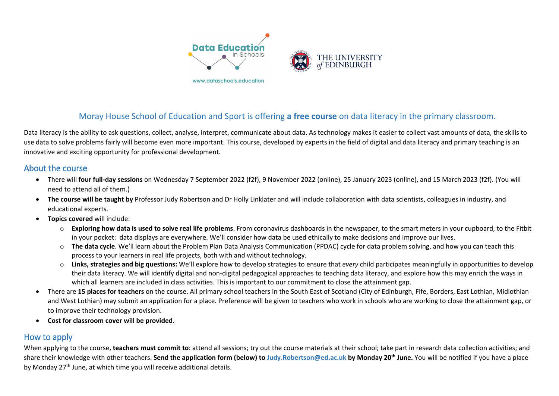

# Moray House School of Education and Sport is offering **a free course** on data literacy in the primary classroom.

Data literacy is the ability to ask questions, collect, analyse, interpret, communicate about data. As technology makes it easier to collect vast amounts of data, the skills to use data to solve problems fairly will become even more important. This course, developed by experts in the field of digital and data literacy and primary teaching is an innovative and exciting opportunity for professional development.

#### About the course

- There will **four full-day sessions** on Wednesday 7 September 2022 (f2f), 9 November 2022 (online), 25 January 2023 (online), and 15 March 2023 (f2f). (You will need to attend all of them.)
- **The course will be taught by** Professor Judy Robertson and Dr Holly Linklater and will include collaboration with data scientists, colleagues in industry, and educational experts.
- **Topics covered** will include:
	- o **Exploring how data is used to solve real life problems**. From coronavirus dashboards in the newspaper, to the smart meters in your cupboard, to the Fitbit in your pocket: data displays are everywhere. We'll consider how data be used ethically to make decisions and improve our lives.
	- o **The data cycle**. We'll learn about the Problem Plan Data Analysis Communication (PPDAC) cycle for data problem solving, and how you can teach this process to your learners in real life projects, both with and without technology.
	- o **Links, strategies and big questions:** We'll explore how to develop strategies to ensure that *every* child participates meaningfully in opportunities to develop their data literacy. We will identify digital and non-digital pedagogical approaches to teaching data literacy, and explore how this may enrich the ways in which all learners are included in class activities. This is important to our commitment to close the attainment gap.
- There are **15 places for teachers** on the course. All primary school teachers in the South East of Scotland (City of Edinburgh, Fife, Borders, East Lothian, Midlothian and West Lothian) may submit an application for a place. Preference will be given to teachers who work in schools who are working to close the attainment gap, or to improve their technology provision.
- **Cost for classroom cover will be provided**.

### How to apply

When applying to the course, **teachers must commit to**: attend all sessions; try out the course materials at their school; take part in research data collection activities; and share their knowledge with other teachers. **Send the application form (below) to [Judy.Robertson@ed.ac.uk](mailto:Judy.Robertson@ed.ac.uk) by Monday 20th June.** You will be notified if you have a place by Monday 27<sup>th</sup> June, at which time you will receive additional details.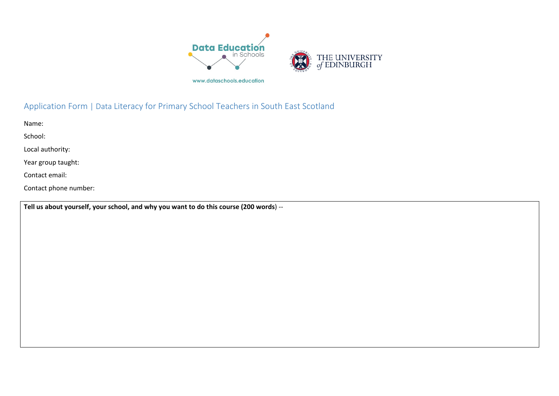

# Application Form | Data Literacy for Primary School Teachers in South East Scotland

Name:

School:

Local authority:

Year group taught:

Contact email:

Contact phone number:

**Tell us about yourself, your school, and why you want to do this course (200 words**) --